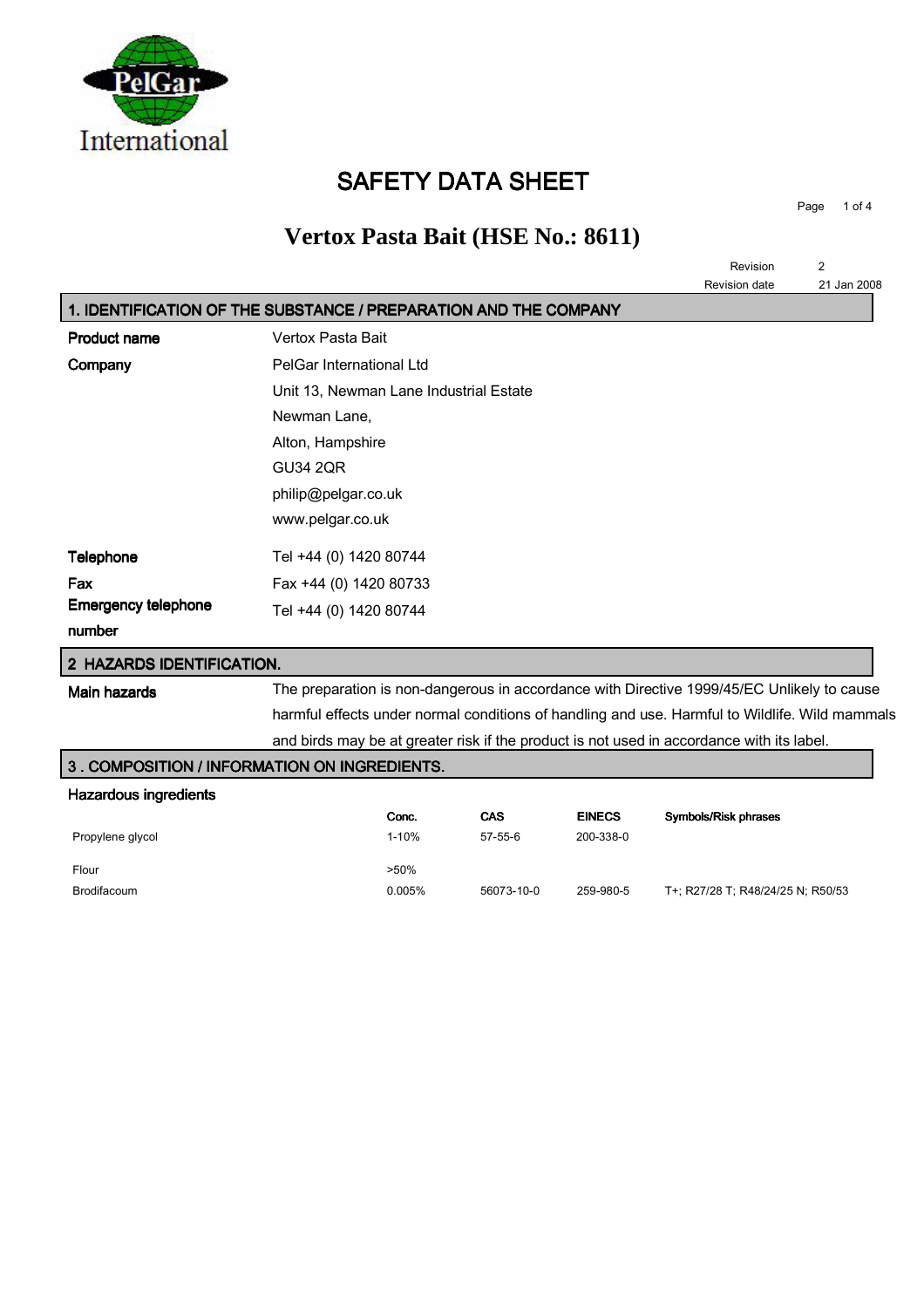

## SAFETY DATA SHEET

Page 1 of 4

# **Vertox Pasta Bait (HSE No.: 8611)**

|                                                                  |                                        |           |            |               | Revision                                                                                       | $\overline{2}$ |
|------------------------------------------------------------------|----------------------------------------|-----------|------------|---------------|------------------------------------------------------------------------------------------------|----------------|
|                                                                  |                                        |           |            |               | Revision date                                                                                  | 21 Jan 2008    |
| 1. IDENTIFICATION OF THE SUBSTANCE / PREPARATION AND THE COMPANY |                                        |           |            |               |                                                                                                |                |
| <b>Product name</b>                                              | Vertox Pasta Bait                      |           |            |               |                                                                                                |                |
| Company                                                          | PelGar International Ltd               |           |            |               |                                                                                                |                |
|                                                                  | Unit 13, Newman Lane Industrial Estate |           |            |               |                                                                                                |                |
|                                                                  | Newman Lane,                           |           |            |               |                                                                                                |                |
|                                                                  | Alton, Hampshire                       |           |            |               |                                                                                                |                |
|                                                                  | <b>GU34 2QR</b>                        |           |            |               |                                                                                                |                |
|                                                                  | philip@pelgar.co.uk                    |           |            |               |                                                                                                |                |
|                                                                  | www.pelgar.co.uk                       |           |            |               |                                                                                                |                |
| Telephone                                                        | Tel +44 (0) 1420 80744                 |           |            |               |                                                                                                |                |
| Fax                                                              | Fax +44 (0) 1420 80733                 |           |            |               |                                                                                                |                |
| <b>Emergency telephone</b>                                       | Tel +44 (0) 1420 80744                 |           |            |               |                                                                                                |                |
| number                                                           |                                        |           |            |               |                                                                                                |                |
| 2 HAZARDS IDENTIFICATION.                                        |                                        |           |            |               |                                                                                                |                |
| <b>Main hazards</b>                                              |                                        |           |            |               | The preparation is non-dangerous in accordance with Directive 1999/45/EC Unlikely to cause     |                |
|                                                                  |                                        |           |            |               | harmful effects under normal conditions of handling and use. Harmful to Wildlife. Wild mammals |                |
|                                                                  |                                        |           |            |               | and birds may be at greater risk if the product is not used in accordance with its label.      |                |
| 3. COMPOSITION / INFORMATION ON INGREDIENTS.                     |                                        |           |            |               |                                                                                                |                |
| <b>Hazardous ingredients</b>                                     |                                        |           |            |               |                                                                                                |                |
|                                                                  |                                        | Conc.     | CAS        | <b>EINECS</b> | Symbols/Risk phrases                                                                           |                |
| Propylene glycol                                                 |                                        | $1 - 10%$ | $57-55-6$  | 200-338-0     |                                                                                                |                |
| Flour                                                            |                                        | $>50\%$   |            |               |                                                                                                |                |
| Brodifacoum                                                      |                                        | 0.005%    | 56073-10-0 | 259-980-5     | T+; R27/28 T; R48/24/25 N; R50/53                                                              |                |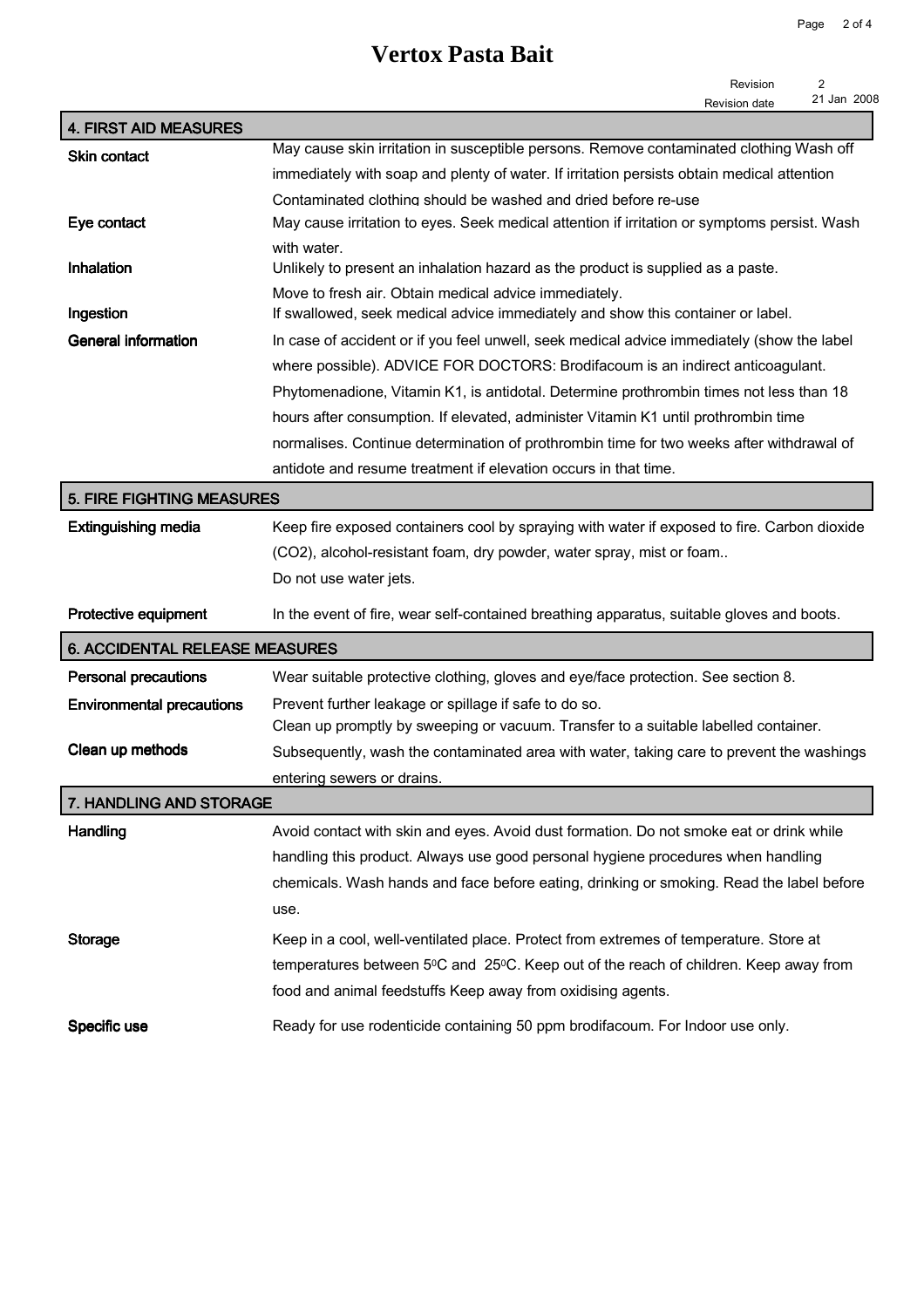## **Vertox Pasta Bait**

| Revision      |             |
|---------------|-------------|
| Revision date | 21 Jan 2008 |

| <b>4. FIRST AID MEASURES</b>          |                                                                                                                                          |
|---------------------------------------|------------------------------------------------------------------------------------------------------------------------------------------|
| <b>Skin contact</b>                   | May cause skin irritation in susceptible persons. Remove contaminated clothing Wash off                                                  |
|                                       | immediately with soap and plenty of water. If irritation persists obtain medical attention                                               |
|                                       | Contaminated clothing should be washed and dried before re-use                                                                           |
| Eye contact                           | May cause irritation to eyes. Seek medical attention if irritation or symptoms persist. Wash                                             |
| Inhalation                            | with water.<br>Unlikely to present an inhalation hazard as the product is supplied as a paste.                                           |
| Ingestion                             | Move to fresh air. Obtain medical advice immediately.<br>If swallowed, seek medical advice immediately and show this container or label. |
| <b>General information</b>            | In case of accident or if you feel unwell, seek medical advice immediately (show the label                                               |
|                                       | where possible). ADVICE FOR DOCTORS: Brodifacoum is an indirect anticoagulant.                                                           |
|                                       | Phytomenadione, Vitamin K1, is antidotal. Determine prothrombin times not less than 18                                                   |
|                                       | hours after consumption. If elevated, administer Vitamin K1 until prothrombin time                                                       |
|                                       | normalises. Continue determination of prothrombin time for two weeks after withdrawal of                                                 |
|                                       | antidote and resume treatment if elevation occurs in that time.                                                                          |
| <b>5. FIRE FIGHTING MEASURES</b>      |                                                                                                                                          |
| <b>Extinguishing media</b>            | Keep fire exposed containers cool by spraying with water if exposed to fire. Carbon dioxide                                              |
|                                       | (CO2), alcohol-resistant foam, dry powder, water spray, mist or foam                                                                     |
|                                       | Do not use water jets.                                                                                                                   |
|                                       |                                                                                                                                          |
| Protective equipment                  | In the event of fire, wear self-contained breathing apparatus, suitable gloves and boots.                                                |
| <b>6. ACCIDENTAL RELEASE MEASURES</b> |                                                                                                                                          |
| Personal precautions                  | Wear suitable protective clothing, gloves and eye/face protection. See section 8.                                                        |
| <b>Environmental precautions</b>      | Prevent further leakage or spillage if safe to do so.                                                                                    |
|                                       | Clean up promptly by sweeping or vacuum. Transfer to a suitable labelled container.                                                      |
| Clean up methods                      | Subsequently, wash the contaminated area with water, taking care to prevent the washings                                                 |
|                                       | entering sewers or drains.                                                                                                               |
| 7. HANDLING AND STORAGE               |                                                                                                                                          |
| Handling                              | Avoid contact with skin and eyes. Avoid dust formation. Do not smoke eat or drink while                                                  |
|                                       | handling this product. Always use good personal hygiene procedures when handling                                                         |
|                                       | chemicals. Wash hands and face before eating, drinking or smoking. Read the label before                                                 |
|                                       | use.                                                                                                                                     |
| <b>Storage</b>                        | Keep in a cool, well-ventilated place. Protect from extremes of temperature. Store at                                                    |
|                                       | temperatures between 5°C and 25°C. Keep out of the reach of children. Keep away from                                                     |
|                                       | food and animal feedstuffs Keep away from oxidising agents.                                                                              |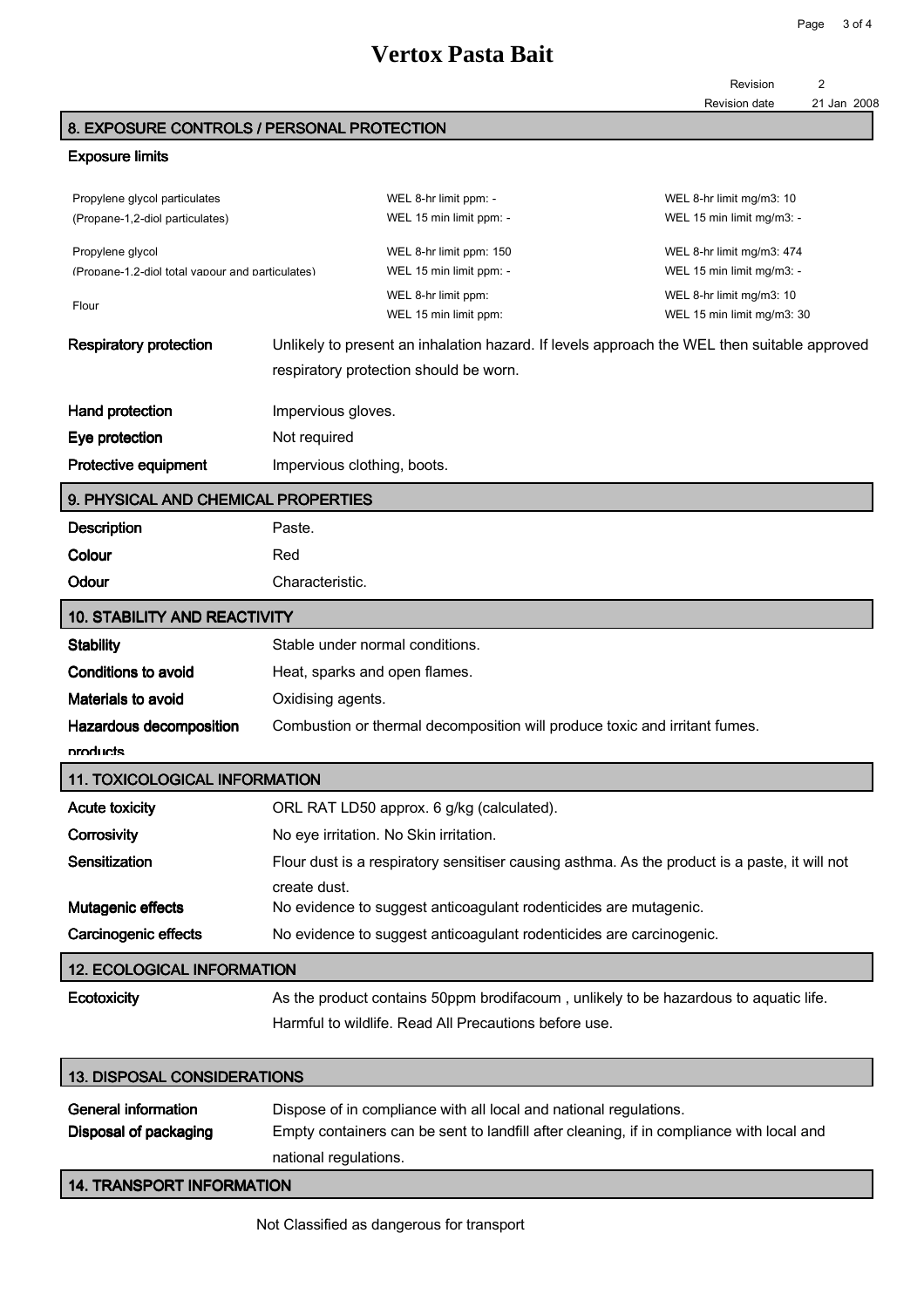### **Vertox Pasta Bait**

Revision 2

### 8. EXPOSURE CONTROLS / PERSONAL PROTECTION

#### Exposure limits

| Propylene glycol particulates<br>(Propane-1,2-diol particulates)     |                                                                  | WEL 8-hr limit ppm: -<br>WEL 15 min limit ppm: -                                              | WEL 8-hr limit mg/m3: 10<br>WEL 15 min limit mg/m3: -  |
|----------------------------------------------------------------------|------------------------------------------------------------------|-----------------------------------------------------------------------------------------------|--------------------------------------------------------|
| Propylene glycol<br>(Propane-1.2-diol total vapour and particulates) |                                                                  | WEL 8-hr limit ppm: 150<br>WEL 15 min limit ppm: -                                            | WEL 8-hr limit mg/m3: 474<br>WEL 15 min limit mg/m3: - |
| Flour                                                                |                                                                  | WEL 8-hr limit ppm:<br>WEL 15 min limit ppm:                                                  | WEL 8-hr limit mg/m3: 10<br>WEL 15 min limit mg/m3: 30 |
| <b>Respiratory protection</b>                                        |                                                                  | Unlikely to present an inhalation hazard. If levels approach the WEL then suitable approved   |                                                        |
|                                                                      |                                                                  | respiratory protection should be worn.                                                        |                                                        |
| Hand protection                                                      | Impervious gloves.                                               |                                                                                               |                                                        |
| Eye protection                                                       | Not required                                                     |                                                                                               |                                                        |
| <b>Protective equipment</b>                                          | Impervious clothing, boots.                                      |                                                                                               |                                                        |
| 9. PHYSICAL AND CHEMICAL PROPERTIES                                  |                                                                  |                                                                                               |                                                        |
| <b>Description</b>                                                   | Paste.                                                           |                                                                                               |                                                        |
| Colour                                                               | Red                                                              |                                                                                               |                                                        |
| Odour                                                                | Characteristic.                                                  |                                                                                               |                                                        |
| <b>10. STABILITY AND REACTIVITY</b>                                  |                                                                  |                                                                                               |                                                        |
| <b>Stability</b>                                                     | Stable under normal conditions.                                  |                                                                                               |                                                        |
| <b>Conditions to avoid</b>                                           | Heat, sparks and open flames.                                    |                                                                                               |                                                        |
| <b>Materials to avoid</b>                                            | Oxidising agents.                                                |                                                                                               |                                                        |
| Hazardous decomposition                                              |                                                                  | Combustion or thermal decomposition will produce toxic and irritant fumes.                    |                                                        |
| products                                                             |                                                                  |                                                                                               |                                                        |
| <b>11. TOXICOLOGICAL INFORMATION</b>                                 |                                                                  |                                                                                               |                                                        |
| <b>Acute toxicity</b>                                                |                                                                  | ORL RAT LD50 approx. 6 g/kg (calculated).                                                     |                                                        |
| Corrosivity                                                          |                                                                  | No eye irritation. No Skin irritation.                                                        |                                                        |
| Sensitization                                                        |                                                                  | Flour dust is a respiratory sensitiser causing asthma. As the product is a paste, it will not |                                                        |
|                                                                      | create dust.                                                     |                                                                                               |                                                        |
| <b>Mutagenic effects</b>                                             | No evidence to suggest anticoagulant rodenticides are mutagenic. |                                                                                               |                                                        |
| <b>Carcinogenic effects</b>                                          |                                                                  | No evidence to suggest anticoagulant rodenticides are carcinogenic.                           |                                                        |
| <b>12. ECOLOGICAL INFORMATION</b>                                    |                                                                  |                                                                                               |                                                        |
| Ecotoxicity                                                          |                                                                  | As the product contains 50ppm brodifacoum, unlikely to be hazardous to aquatic life.          |                                                        |
|                                                                      |                                                                  | Harmful to wildlife. Read All Precautions before use.                                         |                                                        |

| <b>13. DISPOSAL CONSIDERATIONS</b>                  |                                                                                                                                                               |
|-----------------------------------------------------|---------------------------------------------------------------------------------------------------------------------------------------------------------------|
| <b>General information</b><br>Disposal of packaging | Dispose of in compliance with all local and national regulations.<br>Empty containers can be sent to landfill after cleaning, if in compliance with local and |
|                                                     | national regulations.                                                                                                                                         |
| <b>14. TRANSPORT INFORMATION</b>                    |                                                                                                                                                               |

Not Classified as dangerous for transport